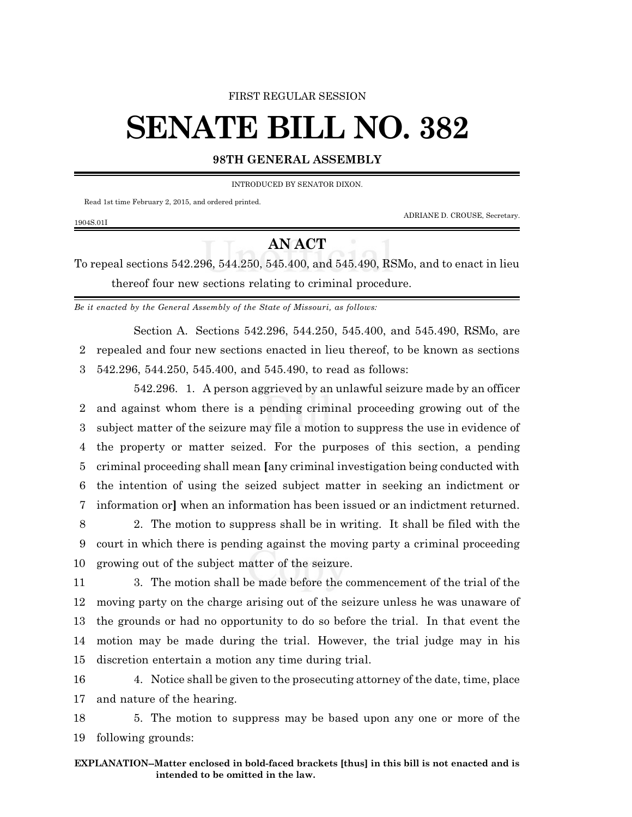#### FIRST REGULAR SESSION

# **SENATE BILL NO. 382**

### **98TH GENERAL ASSEMBLY**

INTRODUCED BY SENATOR DIXON.

Read 1st time February 2, 2015, and ordered printed.

ADRIANE D. CROUSE, Secretary.

#### 1904S.01I

## **AN ACT**

To repeal sections 542.296, 544.250, 545.400, and 545.490, RSMo, and to enact in lieu thereof four new sections relating to criminal procedure.

*Be it enacted by the General Assembly of the State of Missouri, as follows:*

Section A. Sections 542.296, 544.250, 545.400, and 545.490, RSMo, are 2 repealed and four new sections enacted in lieu thereof, to be known as sections 3 542.296, 544.250, 545.400, and 545.490, to read as follows:

542.296. 1. A person aggrieved by an unlawful seizure made by an officer and against whom there is a pending criminal proceeding growing out of the subject matter of the seizure may file a motion to suppress the use in evidence of the property or matter seized. For the purposes of this section, a pending criminal proceeding shall mean **[**any criminal investigation being conducted with the intention of using the seized subject matter in seeking an indictment or information or**]** when an information has been issued or an indictment returned.

8 2. The motion to suppress shall be in writing. It shall be filed with the 9 court in which there is pending against the moving party a criminal proceeding 10 growing out of the subject matter of the seizure.

 3. The motion shall be made before the commencement of the trial of the moving party on the charge arising out of the seizure unless he was unaware of the grounds or had no opportunity to do so before the trial. In that event the motion may be made during the trial. However, the trial judge may in his discretion entertain a motion any time during trial.

16 4. Notice shall be given to the prosecuting attorney of the date, time, place 17 and nature of the hearing.

18 5. The motion to suppress may be based upon any one or more of the 19 following grounds: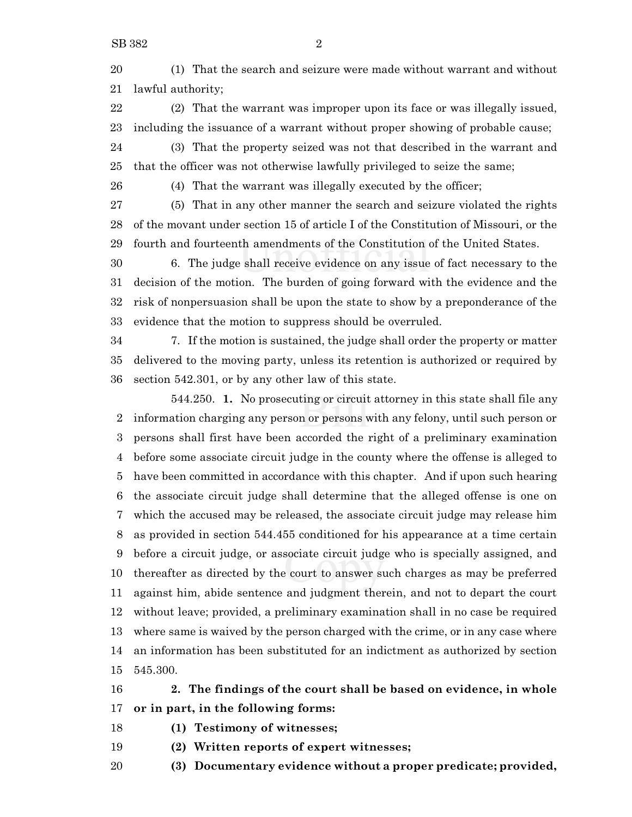(1) That the search and seizure were made without warrant and without lawful authority;

 (2) That the warrant was improper upon its face or was illegally issued, including the issuance of a warrant without proper showing of probable cause;

 (3) That the property seized was not that described in the warrant and that the officer was not otherwise lawfully privileged to seize the same;

(4) That the warrant was illegally executed by the officer;

 (5) That in any other manner the search and seizure violated the rights of the movant under section 15 of article I of the Constitution of Missouri, or the fourth and fourteenth amendments of the Constitution of the United States.

 6. The judge shall receive evidence on any issue of fact necessary to the decision of the motion. The burden of going forward with the evidence and the risk of nonpersuasion shall be upon the state to show by a preponderance of the evidence that the motion to suppress should be overruled.

 7. If the motion is sustained, the judge shall order the property or matter delivered to the moving party, unless its retention is authorized or required by section 542.301, or by any other law of this state.

544.250. **1.** No prosecuting or circuit attorney in this state shall file any information charging any person or persons with any felony, until such person or persons shall first have been accorded the right of a preliminary examination before some associate circuit judge in the county where the offense is alleged to have been committed in accordance with this chapter. And if upon such hearing the associate circuit judge shall determine that the alleged offense is one on which the accused may be released, the associate circuit judge may release him as provided in section 544.455 conditioned for his appearance at a time certain before a circuit judge, or associate circuit judge who is specially assigned, and thereafter as directed by the court to answer such charges as may be preferred against him, abide sentence and judgment therein, and not to depart the court without leave; provided, a preliminary examination shall in no case be required where same is waived by the person charged with the crime, or in any case where an information has been substituted for an indictment as authorized by section 545.300.

 **2. The findings of the court shall be based on evidence, in whole or in part, in the following forms:**

- **(1) Testimony of witnesses;**
- **(2) Written reports of expert witnesses;**
- **(3) Documentary evidence without a proper predicate; provided,**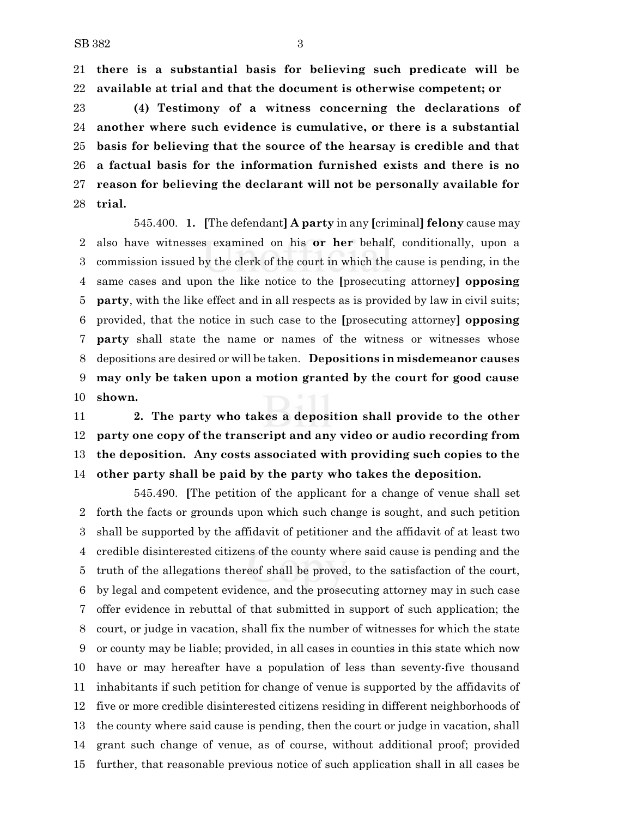**there is a substantial basis for believing such predicate will be available at trial and that the document is otherwise competent; or**

 **(4) Testimony of a witness concerning the declarations of another where such evidence is cumulative, or there is a substantial basis for believing that the source of the hearsay is credible and that a factual basis for the information furnished exists and there is no reason for believing the declarant will not be personally available for trial.**

545.400. **1. [**The defendant**] A party** in any **[**criminal**] felony** cause may also have witnesses examined on his **or her** behalf, conditionally, upon a commission issued by the clerk of the court in which the cause is pending, in the same cases and upon the like notice to the **[**prosecuting attorney**] opposing party**, with the like effect and in all respects as is provided by law in civil suits; provided, that the notice in such case to the **[**prosecuting attorney**] opposing party** shall state the name or names of the witness or witnesses whose depositions are desired or will be taken. **Depositions in misdemeanor causes may only be taken upon a motion granted by the court for good cause shown.**

 **2. The party who takes a deposition shall provide to the other party one copy of the transcript and any video or audio recording from the deposition. Any costs associated with providing such copies to the other party shall be paid by the party who takes the deposition.**

545.490. **[**The petition of the applicant for a change of venue shall set forth the facts or grounds upon which such change is sought, and such petition shall be supported by the affidavit of petitioner and the affidavit of at least two credible disinterested citizens of the county where said cause is pending and the truth of the allegations thereof shall be proved, to the satisfaction of the court, by legal and competent evidence, and the prosecuting attorney may in such case offer evidence in rebuttal of that submitted in support of such application; the court, or judge in vacation, shall fix the number of witnesses for which the state or county may be liable; provided, in all cases in counties in this state which now have or may hereafter have a population of less than seventy-five thousand inhabitants if such petition for change of venue is supported by the affidavits of five or more credible disinterested citizens residing in different neighborhoods of the county where said cause is pending, then the court or judge in vacation, shall grant such change of venue, as of course, without additional proof; provided further, that reasonable previous notice of such application shall in all cases be